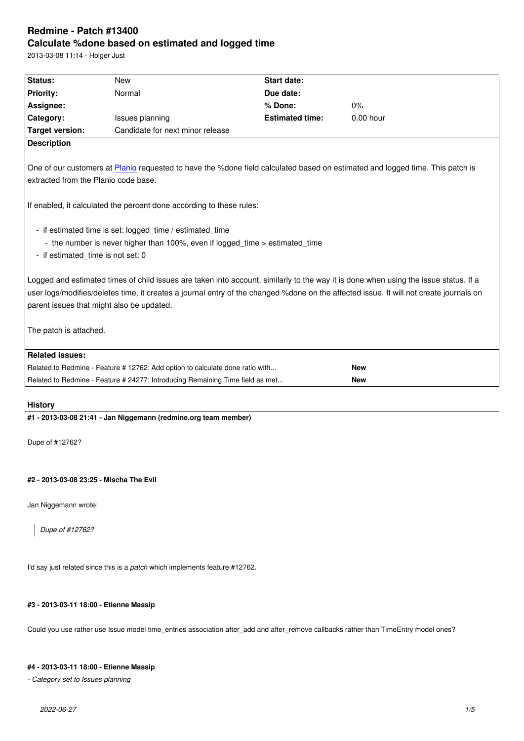#### **Calculate %done based on estimated and logged time**

2013-03-08 11:14 - Holger Just

| Status:                                                                                                                                                                                                                                                                                                                     | <b>New</b>                                                                                                                               | <b>Start date:</b>     |             |  |
|-----------------------------------------------------------------------------------------------------------------------------------------------------------------------------------------------------------------------------------------------------------------------------------------------------------------------------|------------------------------------------------------------------------------------------------------------------------------------------|------------------------|-------------|--|
| <b>Priority:</b>                                                                                                                                                                                                                                                                                                            | Normal                                                                                                                                   | Due date:              |             |  |
| Assignee:                                                                                                                                                                                                                                                                                                                   |                                                                                                                                          | % Done:                | 0%          |  |
| Category:                                                                                                                                                                                                                                                                                                                   | Issues planning                                                                                                                          | <b>Estimated time:</b> | $0.00$ hour |  |
| <b>Target version:</b>                                                                                                                                                                                                                                                                                                      | Candidate for next minor release                                                                                                         |                        |             |  |
| <b>Description</b>                                                                                                                                                                                                                                                                                                          |                                                                                                                                          |                        |             |  |
| extracted from the Planio code base.                                                                                                                                                                                                                                                                                        | One of our customers at Planio requested to have the %done field calculated based on estimated and logged time. This patch is            |                        |             |  |
|                                                                                                                                                                                                                                                                                                                             | If enabled, it calculated the percent done according to these rules:                                                                     |                        |             |  |
| - if estimated_time is not set: 0                                                                                                                                                                                                                                                                                           | - if estimated time is set: logged_time / estimated_time<br>- the number is never higher than 100%, even if logged time > estimated time |                        |             |  |
| Logged and estimated times of child issues are taken into account, similarly to the way it is done when using the issue status. If a<br>user logs/modifies/deletes time, it creates a journal entry of the changed %done on the affected issue. It will not create journals on<br>parent issues that might also be updated. |                                                                                                                                          |                        |             |  |
| The patch is attached.                                                                                                                                                                                                                                                                                                      |                                                                                                                                          |                        |             |  |
| <b>Related issues:</b>                                                                                                                                                                                                                                                                                                      |                                                                                                                                          |                        |             |  |
|                                                                                                                                                                                                                                                                                                                             | Related to Redmine - Feature #12762: Add option to calculate done ratio with                                                             |                        | <b>New</b>  |  |
|                                                                                                                                                                                                                                                                                                                             | Related to Redmine - Feature # 24277: Introducing Remaining Time field as met                                                            |                        | <b>New</b>  |  |

# **History**

**#1 - 2013-03-08 21:41 - Jan Niggemann (redmine.org team member)**

Dupe of #12762?

# **#2 - 2013-03-08 23:25 - Mischa The Evil**

Jan Niggemann wrote:

*Dupe of #12762?*

I'd say just related since this is a *patch* which implements feature #12762.

## **#3 - 2013-03-11 18:00 - Etienne Massip**

Could you use rather use Issue model time\_entries association after\_add and after\_remove callbacks rather than TimeEntry model ones?

## **#4 - 2013-03-11 18:00 - Etienne Massip**

*- Category set to Issues planning*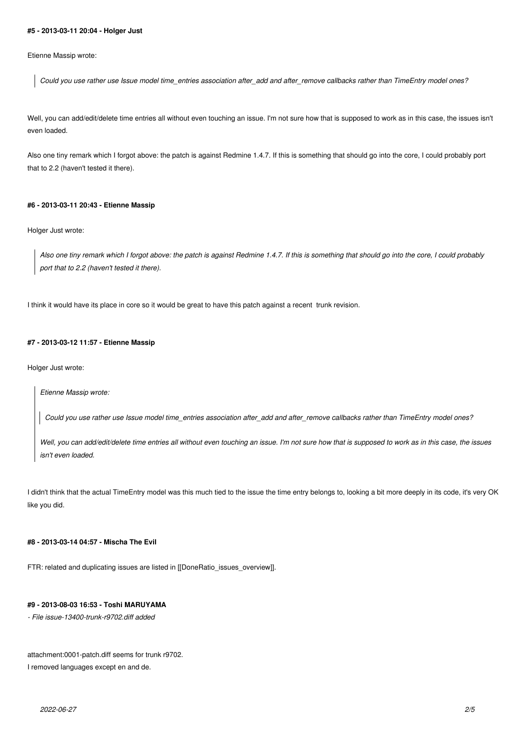#### **#5 - 2013-03-11 20:04 - Holger Just**

Etienne Massip wrote:

*Could you use rather use Issue model time\_entries association after\_add and after\_remove callbacks rather than TimeEntry model ones?*

Well, you can add/edit/delete time entries all without even touching an issue. I'm not sure how that is supposed to work as in this case, the issues isn't even loaded.

Also one tiny remark which I forgot above: the patch is against Redmine 1.4.7. If this is something that should go into the core, I could probably port that to 2.2 (haven't tested it there).

#### **#6 - 2013-03-11 20:43 - Etienne Massip**

Holger Just wrote:

*Also one tiny remark which I forgot above: the patch is against Redmine 1.4.7. If this is something that should go into the core, I could probably port that to 2.2 (haven't tested it there).*

I think it would have its place in core so it would be great to have this patch against a recent trunk revision.

## **#7 - 2013-03-12 11:57 - Etienne Massip**

Holger Just wrote:

*Etienne Massip wrote:*

*Could you use rather use Issue model time\_entries association after\_add and after\_remove callbacks rather than TimeEntry model ones?*

*Well, you can add/edit/delete time entries all without even touching an issue. I'm not sure how that is supposed to work as in this case, the issues isn't even loaded.*

I didn't think that the actual TimeEntry model was this much tied to the issue the time entry belongs to, looking a bit more deeply in its code, it's very OK like you did.

### **#8 - 2013-03-14 04:57 - Mischa The Evil**

FTR: related and duplicating issues are listed in [[DoneRatio\_issues\_overview]].

# **#9 - 2013-08-03 16:53 - Toshi MARUYAMA**

*- File issue-13400-trunk-r9702.diff added*

attachment:0001-patch.diff seems for trunk r9702.

I removed languages except en and de.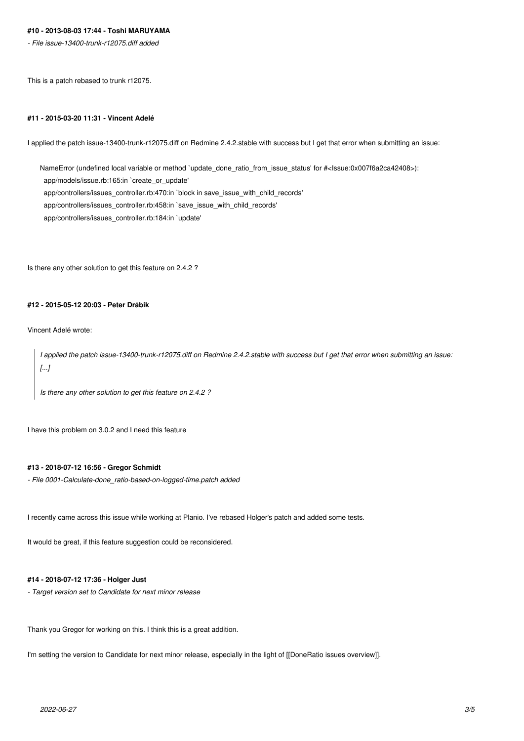# **#10 - 2013-08-03 17:44 - Toshi MARUYAMA**

*- File issue-13400-trunk-r12075.diff added*

This is a patch rebased to trunk r12075.

#### **#11 - 2015-03-20 11:31 - Vincent Adelé**

I applied the patch issue-13400-trunk-r12075.diff on Redmine 2.4.2.stable with success but I get that error when submitting an issue:

NameError (undefined local variable or method `update\_done\_ratio\_from\_issue\_status' for #<Issue:0x007f6a2ca42408>): app/models/issue.rb:165:in `create\_or\_update' app/controllers/issues\_controller.rb:470:in `block in save\_issue\_with\_child\_records' app/controllers/issues\_controller.rb:458:in `save\_issue\_with\_child\_records' app/controllers/issues\_controller.rb:184:in `update'

Is there any other solution to get this feature on 2.4.2 ?

# **#12 - 2015-05-12 20:03 - Peter Drábik**

Vincent Adelé wrote:

*I applied the patch issue-13400-trunk-r12075.diff on Redmine 2.4.2.stable with success but I get that error when submitting an issue: [...]*

*Is there any other solution to get this feature on 2.4.2 ?*

I have this problem on 3.0.2 and I need this feature

# **#13 - 2018-07-12 16:56 - Gregor Schmidt**

*- File 0001-Calculate-done\_ratio-based-on-logged-time.patch added*

I recently came across this issue while working at Planio. I've rebased Holger's patch and added some tests.

It would be great, if this feature suggestion could be reconsidered.

#### **#14 - 2018-07-12 17:36 - Holger Just**

*- Target version set to Candidate for next minor release*

Thank you Gregor for working on this. I think this is a great addition.

I'm setting the version to Candidate for next minor release, especially in the light of [[DoneRatio issues overview]].